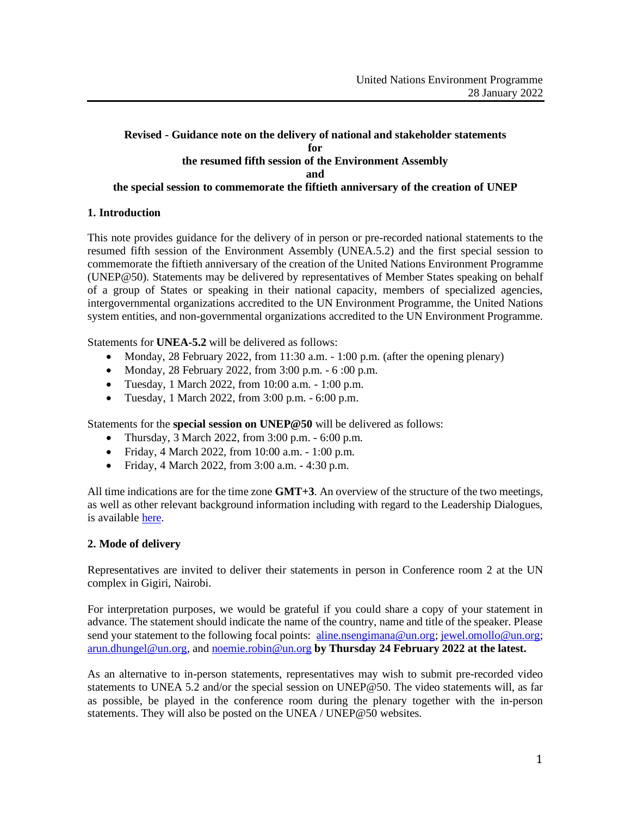## **Revised - Guidance note on the delivery of national and stakeholder statements for the resumed fifth session of the Environment Assembly and the special session to commemorate the fiftieth anniversary of the creation of UNEP**

# **1. Introduction**

This note provides guidance for the delivery of in person or pre-recorded national statements to the resumed fifth session of the Environment Assembly (UNEA.5.2) and the first special session to commemorate the fiftieth anniversary of the creation of the United Nations Environment Programme (UNEP@50). Statements may be delivered by representatives of Member States speaking on behalf of a group of States or speaking in their national capacity, members of specialized agencies, intergovernmental organizations accredited to the UN Environment Programme, the United Nations system entities, and non-governmental organizations accredited to the UN Environment Programme.

Statements for **UNEA-5.2** will be delivered as follows:

- Monday, 28 February 2022, from 11:30 a.m. 1:00 p.m. (after the opening plenary)
- Monday, 28 February 2022, from 3:00 p.m. 6:00 p.m.
- Tuesday, 1 March 2022, from 10:00 a.m. 1:00 p.m.
- Tuesday, 1 March 2022, from 3:00 p.m. 6:00 p.m.

Statements for the **special session on UNEP@50** will be delivered as follows:

- Thursday, 3 March 2022, from 3:00 p.m. 6:00 p.m.
- Friday, 4 March 2022, from 10:00 a.m. 1:00 p.m.
- Friday, 4 March 2022, from 3:00 a.m. 4:30 p.m.

All time indications are for the time zone **GMT+3**. An overview of the structure of the two meetings, as well as other relevant background information including with regard to the Leadership Dialogues, is available [here.](https://wedocs.unep.org/bitstream/handle/20.500.11822/37983/UNEA%205.2%20and%20UNEP%4050%20final%20structure%20as%20endorsed%209%20Dec%202021.pdf?sequence=1&isAllowed=y)

# **2. Mode of delivery**

Representatives are invited to deliver their statements in person in Conference room 2 at the UN complex in Gigiri, Nairobi.

For interpretation purposes, we would be grateful if you could share a copy of your statement in advance. The statement should indicate the name of the country, name and title of the speaker. Please send your statement to the following focal points: [aline.nsengimana@un.org;](mailto:aline.nsengimana@un.org) [jewel.omollo@un.org;](mailto:jewel.omollo@un.org) [arun.dhungel@un.org,](mailto:arun.dhungel@un.org) and [noemie.robin@un.org](mailto:noemie.robin@un.org) **by Thursday 24 February 2022 at the latest.**

As an alternative to in-person statements, representatives may wish to submit pre-recorded video statements to UNEA 5.2 and/or the special session on UNEP@50. The video statements will, as far as possible, be played in the conference room during the plenary together with the in-person statements. They will also be posted on the UNEA / UNEP@50 websites.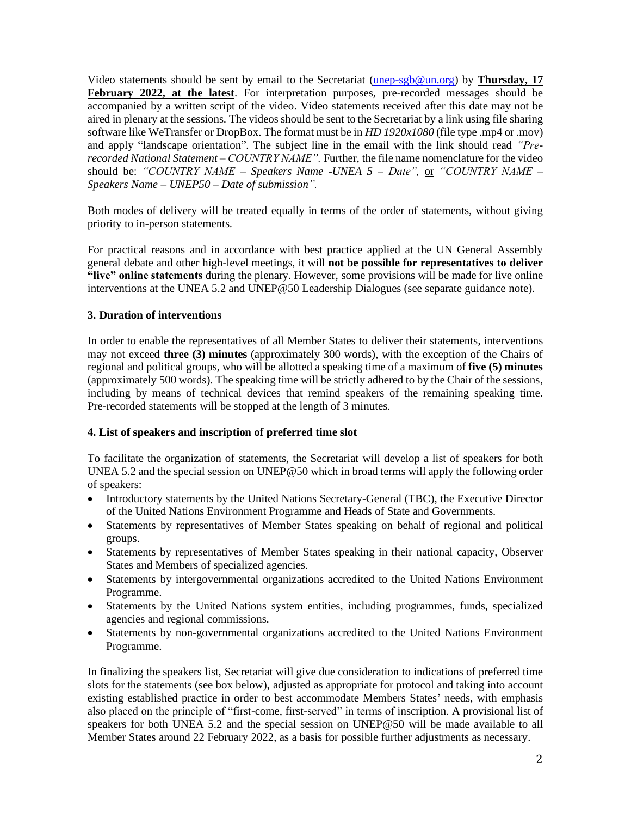Video statements should be sent by email to the Secretariat [\(unep-sgb@un.org\)](mailto:unep-sgb@un.org) by **Thursday, 17 February 2022, at the latest**. For interpretation purposes, pre-recorded messages should be accompanied by a written script of the video. Video statements received after this date may not be aired in plenary at the sessions. The videos should be sent to the Secretariat by a link using file sharing software like WeTransfer or DropBox. The format must be in *HD 1920x1080* (file type .mp4 or .mov) and apply "landscape orientation". The subject line in the email with the link should read *"Prerecorded National Statement – COUNTRY NAME".* Further, the file name nomenclature for the video should be: *"COUNTRY NAME – Speakers Name -UNEA 5 – Date",* or *"COUNTRY NAME – Speakers Name – UNEP50 – Date of submission".*

Both modes of delivery will be treated equally in terms of the order of statements, without giving priority to in-person statements.

For practical reasons and in accordance with best practice applied at the UN General Assembly general debate and other high-level meetings, it will **not be possible for representatives to deliver "live" online statements** during the plenary. However, some provisions will be made for live online interventions at the UNEA 5.2 and UNEP@50 Leadership Dialogues (see separate guidance note).

## **3. Duration of interventions**

In order to enable the representatives of all Member States to deliver their statements, interventions may not exceed **three (3) minutes** (approximately 300 words), with the exception of the Chairs of regional and political groups, who will be allotted a speaking time of a maximum of **five (5) minutes**  (approximately 500 words). The speaking time will be strictly adhered to by the Chair of the sessions, including by means of technical devices that remind speakers of the remaining speaking time. Pre-recorded statements will be stopped at the length of 3 minutes.

#### **4. List of speakers and inscription of preferred time slot**

To facilitate the organization of statements, the Secretariat will develop a list of speakers for both UNEA 5.2 and the special session on UNEP@50 which in broad terms will apply the following order of speakers:

- Introductory statements by the United Nations Secretary-General (TBC), the Executive Director of the United Nations Environment Programme and Heads of State and Governments.
- Statements by representatives of Member States speaking on behalf of regional and political groups.
- Statements by representatives of Member States speaking in their national capacity, Observer States and Members of specialized agencies.
- Statements by intergovernmental organizations accredited to the United Nations Environment Programme.
- Statements by the United Nations system entities, including programmes, funds, specialized agencies and regional commissions.
- Statements by non-governmental organizations accredited to the United Nations Environment Programme.

In finalizing the speakers list, Secretariat will give due consideration to indications of preferred time slots for the statements (see box below), adjusted as appropriate for protocol and taking into account existing established practice in order to best accommodate Members States' needs, with emphasis also placed on the principle of "first-come, first-served" in terms of inscription. A provisional list of speakers for both UNEA 5.2 and the special session on UNEP@50 will be made available to all Member States around 22 February 2022, as a basis for possible further adjustments as necessary.